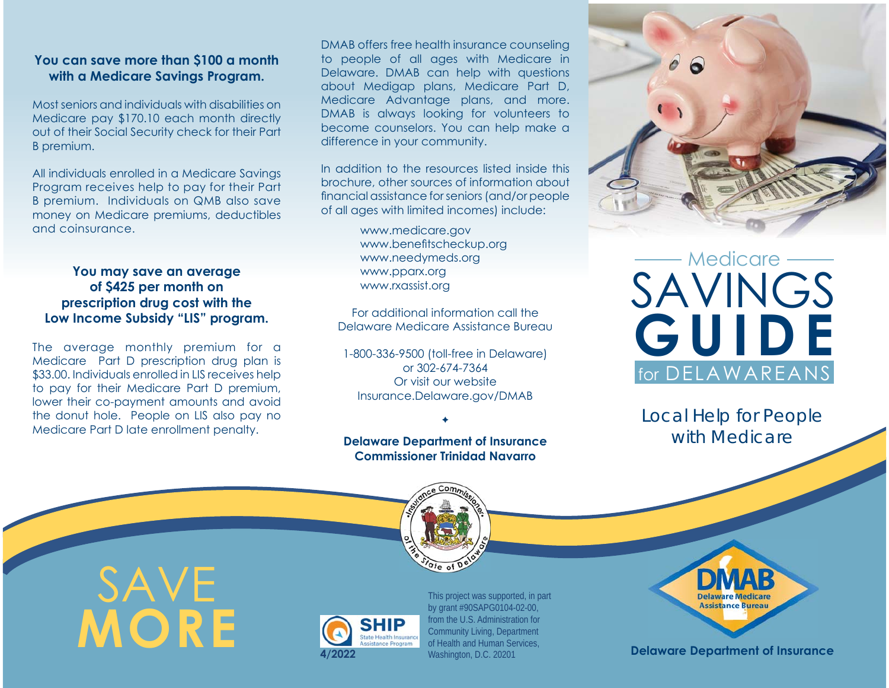# **You can save more than \$100 a month with a Medicare Savings Program.**

Most seniors and individuals with disabilities on Medicare pay \$170.10 each month directly out of their Social Security check for their Part B premium.

All individuals enrolled in a Medicare Savings Program receives help to pay for their Part B premium. Individuals on QMB also save money on Medicare premiums, deductibles and coinsurance.

### **You may save an average of \$425 per month on prescription drug cost with the Low Income Subsidy "LIS" program.**

The average monthly premium for a Medicare Part D prescription drug plan is \$33.00. Individuals enrolled in LIS receives help to pay for their Medicare Part D premium, lower their co-payment amounts and avoid the donut hole. People on LIS also pay no Medicare Part D late enrollment penalty.

DMAB offers free health insurance counseling to people of all ages with Medicare in Delaware. DMAB can help with questions about Medigap plans, Medicare Part D, Medicare Advantage plans, and more. DMAB is always looking for volunteers to become counselors. You can help make a difference in your community.

In addition to the resources listed inside this brochure, other sources of information about financial assistance for seniors (and/or people) of all ages with limited incomes) include:

> www.medicare.gov www.benefitscheckup.org www.needymeds.org www.pparx.org www.rxassist.org

For additional information call the Delaware Medicare Assistance Bureau

1-800-336-9500 (toll-free in Delaware) or 302-674-7364Or visit our websiteInsurance.Delaware.gov/DMAB

# **Delaware Department of Insurance Commissioner Trinidad Navarro**

 $\bullet$ 



# SAVINGS **GUIDE** Medicarefor DELAWAREANS

*Local Help for People with Medicare*



SAVE **MORE**



This project was supported, in part by grant #90SAPG0104-02-00, from the U.S. Administration for Community Living, Department of Health and Human Services, Washington, D.C. 20201



#### **4/2022 Delaware Department of Insurance**